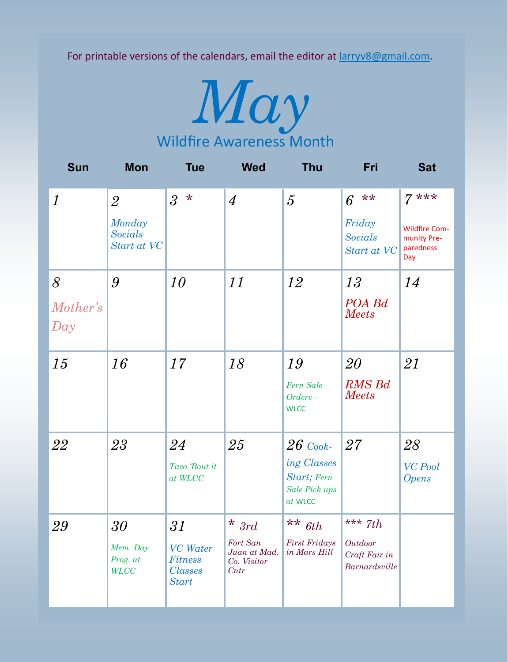For printable versions of the calendars, email the editor at  $Iarrow8@gmail.com$ .



| <b>Sun</b>           | <b>Mon</b>                                                | <b>Tue</b>                                                                    | <b>Wed</b>                                                 | <b>Thu</b>                                                                    | Fri                                                    | <b>Sat</b>                                                        |
|----------------------|-----------------------------------------------------------|-------------------------------------------------------------------------------|------------------------------------------------------------|-------------------------------------------------------------------------------|--------------------------------------------------------|-------------------------------------------------------------------|
| $\boldsymbol{l}$     | $\overline{2}$<br>Monday<br><b>Socials</b><br>Start at VC | $3 *$                                                                         | $\overline{4}$                                             | $\overline{5}$                                                                | **<br>6<br>Friday<br><b>Socials</b><br>Start at VC     | $7***$<br><b>Wildfire Com-</b><br>munity Pre-<br>paredness<br>Day |
| 8<br>Mother's<br>Day | 9                                                         | 10                                                                            | 11                                                         | 12                                                                            | 13<br>POA Bd<br><b>Meets</b>                           | 14                                                                |
| 15                   | 16                                                        | 17                                                                            | 18                                                         | 19<br>Fern Sale<br>Orders -<br><b>WLCC</b>                                    | 20<br><b>RMS Bd</b><br><b>Meets</b>                    | 21                                                                |
| 22                   | 23                                                        | 24<br>Taco 'Bout it<br>$at$ $WLCC$                                            | 25                                                         | $26$ Cook-<br>ing Classes<br>Start; Fern<br><b>Sale Pick ups</b><br>$at$ WLCC | 27                                                     | 28<br><b>VC</b> Pool<br><b>Opens</b>                              |
| 29                   | $3\theta$<br>Mem. Day<br>Prog. at<br><b>WLCC</b>          | $31\,$<br><b>VC</b> Water<br><b>Fitness</b><br><b>Classes</b><br><b>Start</b> | $*$ 3rd<br>Fort San<br>Juan at Mad.<br>Co. Visitor<br>Cntr | ** $6th$<br><b>First Fridays</b><br>in Mars Hill                              | *** $7th$<br>Outdoor<br>Craft Fair in<br>Barnardsville |                                                                   |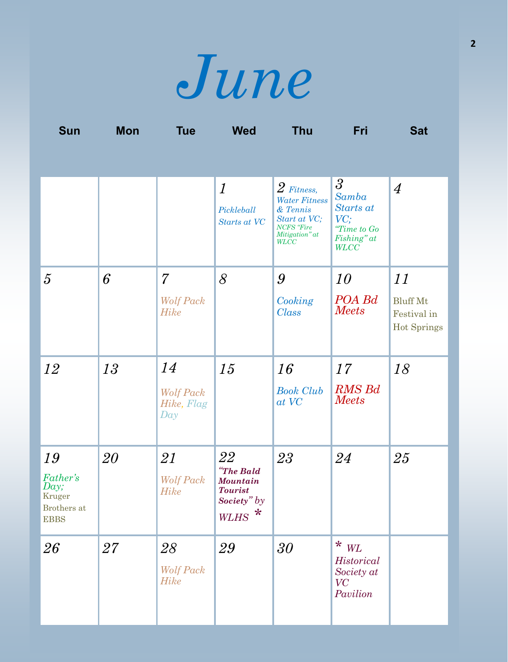

| <b>Sun</b>                                                            | Mon    | <b>Tue</b>                            | <b>Wed</b>                                                                              | <b>Thu</b>                                                                                                             | Fri                                                                                      | <b>Sat</b>                                           |
|-----------------------------------------------------------------------|--------|---------------------------------------|-----------------------------------------------------------------------------------------|------------------------------------------------------------------------------------------------------------------------|------------------------------------------------------------------------------------------|------------------------------------------------------|
|                                                                       |        |                                       |                                                                                         |                                                                                                                        |                                                                                          |                                                      |
|                                                                       |        |                                       | $\boldsymbol{l}$<br>Pickleball<br>Starts at VC                                          | $2$ Fitness,<br><b>Water Fitness</b><br>& Tennis<br>Start at VC;<br><b>NCFS</b> 'Fire<br>Mitigation" at<br><b>WLCC</b> | $\mathfrak{Z}$<br>Samba<br>Starts at<br>VC;<br>"Time to Go<br>Fishing" at<br><b>WLCC</b> | $\overline{4}$                                       |
| $\overline{5}$                                                        | 6      | $\overline{7}$                        | 8                                                                                       | 9                                                                                                                      | 10                                                                                       | 11                                                   |
|                                                                       |        | <b>Wolf Pack</b><br><b>Hike</b>       |                                                                                         | Cooking<br><b>Class</b>                                                                                                | POA Bd<br><b>Meets</b>                                                                   | <b>Bluff Mt</b><br>Festival in<br><b>Hot Springs</b> |
| 12                                                                    | 13     | 14                                    | 15                                                                                      | 16                                                                                                                     | 17                                                                                       | 18                                                   |
|                                                                       |        | <b>Wolf Pack</b><br>Hike, Flag<br>Day |                                                                                         | <b>Book Club</b><br>at VC                                                                                              | <b>RMS Bd</b><br><b>Meets</b>                                                            |                                                      |
| 19<br><b>Father's</b><br>Day;<br>Kruger<br>Brothers at<br><b>EBBS</b> | 20     | 21<br><b>Wolf Pack</b><br><b>Hike</b> | 22<br>"The Bald<br><b>Mountain</b><br><b>Tourist</b><br>Society" $by$<br>$\ast$<br>WLHS | 23                                                                                                                     | 24                                                                                       | 25                                                   |
| 26                                                                    | $27\,$ | 28<br><b>Wolf Pack</b><br><b>Hike</b> | 29                                                                                      | 30                                                                                                                     | $\star$ $_{WL}$<br>Historical<br>Society at<br>VC<br>Pavilion                            |                                                      |